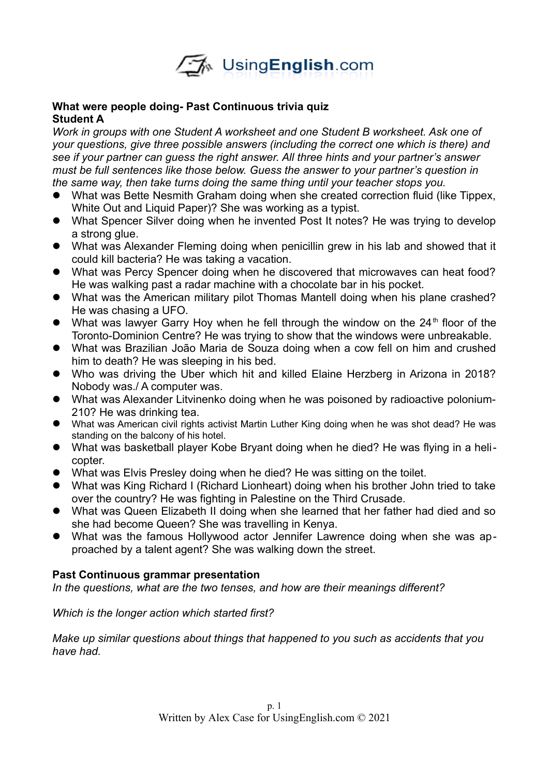

### **What were people doing- Past Continuous trivia quiz Student A**

*Work in groups with one Student A worksheet and one Student B worksheet. Ask one of your questions, give three possible answers (including the correct one which is there) and see if your partner can guess the right answer. All three hints and your partner's answer must be full sentences like those below. Guess the answer to your partner's question in the same way, then take turns doing the same thing until your teacher stops you.* 

- What was Bette Nesmith Graham doing when she created correction fluid (like Tippex, White Out and Liquid Paper)? She was working as a typist.
- What Spencer Silver doing when he invented Post It notes? He was trying to develop a strong glue.
- What was Alexander Fleming doing when penicillin grew in his lab and showed that it could kill bacteria? He was taking a vacation.
- What was Percy Spencer doing when he discovered that microwaves can heat food? He was walking past a radar machine with a chocolate bar in his pocket.
- What was the American military pilot Thomas Mantell doing when his plane crashed? He was chasing a UFO.
- $\bullet$  What was lawyer Garry Hoy when he fell through the window on the 24<sup>th</sup> floor of the Toronto-Dominion Centre? He was trying to show that the windows were unbreakable.
- What was Brazilian João Maria de Souza doing when a cow fell on him and crushed him to death? He was sleeping in his bed.
- Who was driving the Uber which hit and killed Elaine Herzberg in Arizona in 2018? Nobody was./ A computer was.
- What was Alexander Litvinenko doing when he was poisoned by radioactive polonium-210? He was drinking tea.
- What was American civil rights activist Martin Luther King doing when he was shot dead? He was standing on the balcony of his hotel.
- What was basketball player Kobe Bryant doing when he died? He was flying in a helicopter.
- What was Elvis Presley doing when he died? He was sitting on the toilet.
- What was King Richard I (Richard Lionheart) doing when his brother John tried to take over the country? He was fighting in Palestine on the Third Crusade.
- What was Queen Elizabeth II doing when she learned that her father had died and so she had become Queen? She was travelling in Kenya.
- What was the famous Hollywood actor Jennifer Lawrence doing when she was approached by a talent agent? She was walking down the street.

# **Past Continuous grammar presentation**

*In the questions, what are the two tenses, and how are their meanings different?*

### *Which is the longer action which started first?*

*Make up similar questions about things that happened to you such as accidents that you have had.*